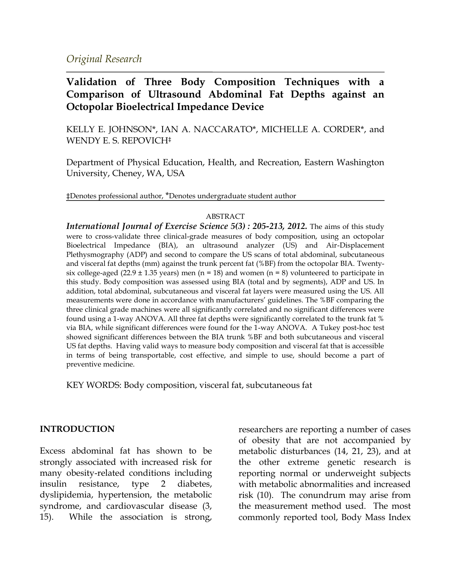*Original Research*

# **Validation of Three Body Composition Techniques with a Comparison of Ultrasound Abdominal Fat Depths against an Octopolar Bioelectrical Impedance Device**

KELLY E. JOHNSON\*, IAN A. NACCARATO\*, MICHELLE A. CORDER\*, and WENDY E. S. REPOVICH‡

Department of Physical Education, Health, and Recreation, Eastern Washington University, Cheney, WA, USA

‡Denotes professional author, \*Denotes undergraduate student author

#### ABSTRACT

*International Journal of Exercise Science 5(3) : 205-213, 2012.* The aims of this study were to cross-validate three clinical-grade measures of body composition, using an octopolar Bioelectrical Impedance (BIA), an ultrasound analyzer (US) and Air-Displacement Plethysmography (ADP) and second to compare the US scans of total abdominal, subcutaneous and visceral fat depths (mm) against the trunk percent fat (%BF) from the octopolar BIA. Twentysix college-aged (22.9  $\pm$  1.35 years) men (n = 18) and women (n = 8) volunteered to participate in this study. Body composition was assessed using BIA (total and by segments), ADP and US. In addition, total abdominal, subcutaneous and visceral fat layers were measured using the US. All measurements were done in accordance with manufacturers' guidelines. The %BF comparing the three clinical grade machines were all significantly correlated and no significant differences were found using a 1-way ANOVA. All three fat depths were significantly correlated to the trunk fat % via BIA, while significant differences were found for the 1-way ANOVA. A Tukey post-hoc test showed significant differences between the BIA trunk %BF and both subcutaneous and visceral US fat depths. Having valid ways to measure body composition and visceral fat that is accessible in terms of being transportable, cost effective, and simple to use, should become a part of preventive medicine.

KEY WORDS: Body composition, visceral fat, subcutaneous fat

#### **INTRODUCTION**

Excess abdominal fat has shown to be strongly associated with increased risk for many obesity-related conditions including insulin resistance, type 2 diabetes, dyslipidemia, hypertension, the metabolic syndrome, and cardiovascular disease (3, 15). While the association is strong,

researchers are reporting a number of cases of obesity that are not accompanied by metabolic disturbances (14, 21, 23), and at the other extreme genetic research is reporting normal or underweight subjects with metabolic abnormalities and increased risk (10). The conundrum may arise from the measurement method used. The most commonly reported tool, Body Mass Index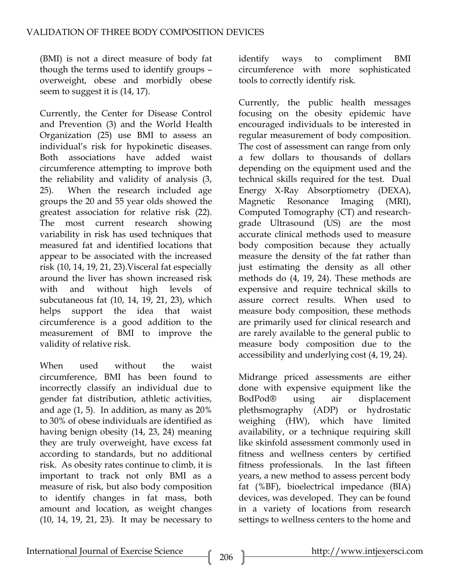(BMI) is not a direct measure of body fat though the terms used to identify groups – overweight, obese and morbidly obese seem to suggest it is (14, 17).

Currently, the Center for Disease Control and Prevention (3) and the World Health Organization (25) use BMI to assess an individual's risk for hypokinetic diseases. Both associations have added waist circumference attempting to improve both the reliability and validity of analysis (3, 25). When the research included age groups the 20 and 55 year olds showed the greatest association for relative risk (22). The most current research showing variability in risk has used techniques that measured fat and identified locations that appear to be associated with the increased risk (10, 14, 19, 21, 23).Visceral fat especially around the liver has shown increased risk with and without high levels of subcutaneous fat (10, 14, 19, 21, 23), which helps support the idea that waist circumference is a good addition to the measurement of BMI to improve the validity of relative risk.

When used without the waist circumference, BMI has been found to incorrectly classify an individual due to gender fat distribution, athletic activities, and age (1, 5). In addition, as many as 20% to 30% of obese individuals are identified as having benign obesity (14, 23, 24) meaning they are truly overweight, have excess fat according to standards, but no additional risk. As obesity rates continue to climb, it is important to track not only BMI as a measure of risk, but also body composition to identify changes in fat mass, both amount and location, as weight changes (10, 14, 19, 21, 23). It may be necessary to

identify ways to compliment BMI circumference with more sophisticated tools to correctly identify risk.

Currently, the public health messages focusing on the obesity epidemic have encouraged individuals to be interested in regular measurement of body composition. The cost of assessment can range from only a few dollars to thousands of dollars depending on the equipment used and the technical skills required for the test. Dual Energy X-Ray Absorptiometry (DEXA), Magnetic Resonance Imaging (MRI), Computed Tomography (CT) and researchgrade Ultrasound (US) are the most accurate clinical methods used to measure body composition because they actually measure the density of the fat rather than just estimating the density as all other methods do (4, 19, 24). These methods are expensive and require technical skills to assure correct results. When used to measure body composition, these methods are primarily used for clinical research and are rarely available to the general public to measure body composition due to the accessibility and underlying cost (4, 19, 24).

Midrange priced assessments are either done with expensive equipment like the BodPod® using air displacement plethsmography (ADP) or hydrostatic weighing (HW), which have limited availability, or a technique requiring skill like skinfold assessment commonly used in fitness and wellness centers by certified fitness professionals. In the last fifteen years, a new method to assess percent body fat (%BF), bioelectrical impedance (BIA) devices, was developed. They can be found in a variety of locations from research settings to wellness centers to the home and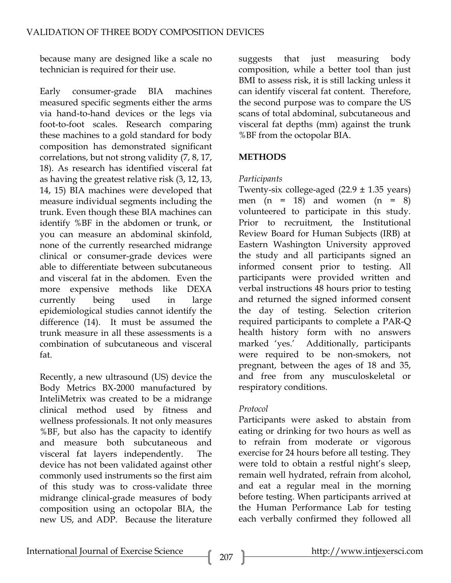because many are designed like a scale no technician is required for their use.

Early consumer-grade BIA machines measured specific segments either the arms via hand-to-hand devices or the legs via foot-to-foot scales. Research comparing these machines to a gold standard for body composition has demonstrated significant correlations, but not strong validity (7, 8, 17, 18). As research has identified visceral fat as having the greatest relative risk (3, 12, 13, 14, 15) BIA machines were developed that measure individual segments including the trunk. Even though these BIA machines can identify %BF in the abdomen or trunk, or you can measure an abdominal skinfold, none of the currently researched midrange clinical or consumer-grade devices were able to differentiate between subcutaneous and visceral fat in the abdomen. Even the more expensive methods like DEXA currently being used in large epidemiological studies cannot identify the difference (14). It must be assumed the trunk measure in all these assessments is a combination of subcutaneous and visceral fat.

Recently, a new ultrasound (US) device the Body Metrics BX-2000 manufactured by InteliMetrix was created to be a midrange clinical method used by fitness and wellness professionals. It not only measures %BF, but also has the capacity to identify and measure both subcutaneous and visceral fat layers independently. The device has not been validated against other commonly used instruments so the first aim of this study was to cross-validate three midrange clinical-grade measures of body composition using an octopolar BIA, the new US, and ADP. Because the literature suggests that just measuring body composition, while a better tool than just BMI to assess risk, it is still lacking unless it can identify visceral fat content. Therefore, the second purpose was to compare the US scans of total abdominal, subcutaneous and visceral fat depths (mm) against the trunk %BF from the octopolar BIA.

# **METHODS**

# *Participants*

Twenty-six college-aged  $(22.9 \pm 1.35 \text{ years})$ men  $(n = 18)$  and women  $(n = 8)$ volunteered to participate in this study. Prior to recruitment, the Institutional Review Board for Human Subjects (IRB) at Eastern Washington University approved the study and all participants signed an informed consent prior to testing. All participants were provided written and verbal instructions 48 hours prior to testing and returned the signed informed consent the day of testing. Selection criterion required participants to complete a PAR-Q health history form with no answers marked 'yes.' Additionally, participants were required to be non-smokers, not pregnant, between the ages of 18 and 35, and free from any musculoskeletal or respiratory conditions.

## *Protocol*

Participants were asked to abstain from eating or drinking for two hours as well as to refrain from moderate or vigorous exercise for 24 hours before all testing. They were told to obtain a restful night's sleep, remain well hydrated, refrain from alcohol, and eat a regular meal in the morning before testing. When participants arrived at the Human Performance Lab for testing each verbally confirmed they followed all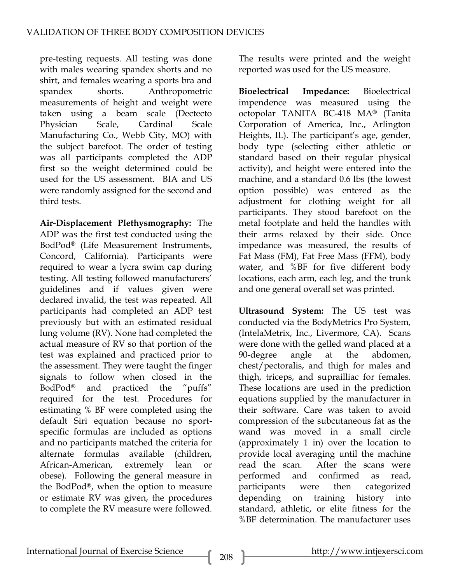pre-testing requests. All testing was done with males wearing spandex shorts and no shirt, and females wearing a sports bra and spandex shorts. Anthropometric measurements of height and weight were taken using a beam scale (Dectecto Physician Scale, Cardinal Scale Manufacturing Co., Webb City, MO) with the subject barefoot. The order of testing was all participants completed the ADP first so the weight determined could be used for the US assessment. BIA and US were randomly assigned for the second and third tests.

**Air-Displacement Plethysmography:** The ADP was the first test conducted using the BodPod® (Life Measurement Instruments, Concord, California). Participants were required to wear a lycra swim cap during testing. All testing followed manufacturers' guidelines and if values given were declared invalid, the test was repeated. All participants had completed an ADP test previously but with an estimated residual lung volume (RV). None had completed the actual measure of RV so that portion of the test was explained and practiced prior to the assessment. They were taught the finger signals to follow when closed in the BodPod® and practiced the "puffs" required for the test. Procedures for estimating % BF were completed using the default Siri equation because no sportspecific formulas are included as options and no participants matched the criteria for alternate formulas available (children, African-American, extremely lean or obese). Following the general measure in the BodPod®, when the option to measure or estimate RV was given, the procedures to complete the RV measure were followed.

The results were printed and the weight reported was used for the US measure.

**Bioelectrical Impedance:** Bioelectrical impendence was measured using the octopolar TANITA BC-418 MA® (Tanita Corporation of America, Inc., Arlington Heights, IL). The participant's age, gender, body type (selecting either athletic or standard based on their regular physical activity), and height were entered into the machine, and a standard 0.6 lbs (the lowest option possible) was entered as the adjustment for clothing weight for all participants. They stood barefoot on the metal footplate and held the handles with their arms relaxed by their side. Once impedance was measured, the results of Fat Mass (FM), Fat Free Mass (FFM), body water, and %BF for five different body locations, each arm, each leg, and the trunk and one general overall set was printed.

**Ultrasound System:** The US test was conducted via the BodyMetrics Pro System, (IntelaMetrix, Inc., Livermore, CA). Scans were done with the gelled wand placed at a 90-degree angle at the abdomen, chest/pectoralis, and thigh for males and thigh, triceps, and suprailliac for females. These locations are used in the prediction equations supplied by the manufacturer in their software. Care was taken to avoid compression of the subcutaneous fat as the wand was moved in a small circle (approximately 1 in) over the location to provide local averaging until the machine read the scan. After the scans were performed and confirmed as read, participants were then categorized depending on training history into standard, athletic, or elite fitness for the %BF determination. The manufacturer uses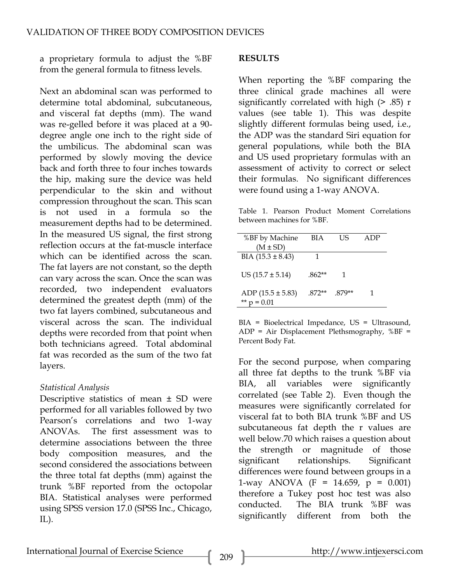a proprietary formula to adjust the %BF from the general formula to fitness levels.

Next an abdominal scan was performed to determine total abdominal, subcutaneous, and visceral fat depths (mm). The wand was re-gelled before it was placed at a 90 degree angle one inch to the right side of the umbilicus. The abdominal scan was performed by slowly moving the device back and forth three to four inches towards the hip, making sure the device was held perpendicular to the skin and without compression throughout the scan. This scan is not used in a formula so the measurement depths had to be determined. In the measured US signal, the first strong reflection occurs at the fat-muscle interface which can be identified across the scan. The fat layers are not constant, so the depth can vary across the scan. Once the scan was recorded, two independent evaluators determined the greatest depth (mm) of the two fat layers combined, subcutaneous and visceral across the scan. The individual depths were recorded from that point when both technicians agreed. Total abdominal fat was recorded as the sum of the two fat layers.

## *Statistical Analysis*

Descriptive statistics of mean ± SD were performed for all variables followed by two Pearson's correlations and two 1-way ANOVAs. The first assessment was to determine associations between the three body composition measures, and the second considered the associations between the three total fat depths (mm) against the trunk %BF reported from the octopolar BIA. Statistical analyses were performed using SPSS version 17.0 (SPSS Inc., Chicago,  $IL$ ).

#### **RESULTS**

When reporting the %BF comparing the three clinical grade machines all were significantly correlated with high (> .85) r values (see table 1). This was despite slightly different formulas being used, i.e., the ADP was the standard Siri equation for general populations, while both the BIA and US used proprietary formulas with an assessment of activity to correct or select their formulas. No significant differences were found using a 1-way ANOVA.

Table 1. Pearson Product Moment Correlations between machines for %BF.

| %BF by Machine<br>$(M \pm SD)$ | <b>BIA</b> | I IS   | ADP |
|--------------------------------|------------|--------|-----|
| $BIA$ (15.3 $\pm$ 8.43)        |            |        |     |
| US $(15.7 \pm 5.14)$           | $.862**$   |        |     |
| ADP $(15.5 \pm 5.83)$<br>0.01  | $.872**$   | .879** |     |

BIA = Bioelectrical Impedance, US = Ultrasound,  $ADP = Air Displacement Plethsmography, %BF =$ Percent Body Fat.

For the second purpose, when comparing all three fat depths to the trunk %BF via BIA, all variables were significantly correlated (see Table 2). Even though the measures were significantly correlated for visceral fat to both BIA trunk %BF and US subcutaneous fat depth the r values are well below.70 which raises a question about the strength or magnitude of those significant relationships. Significant differences were found between groups in a 1-way ANOVA (F = 14.659,  $p = 0.001$ ) therefore a Tukey post hoc test was also conducted. The BIA trunk %BF was significantly different from both the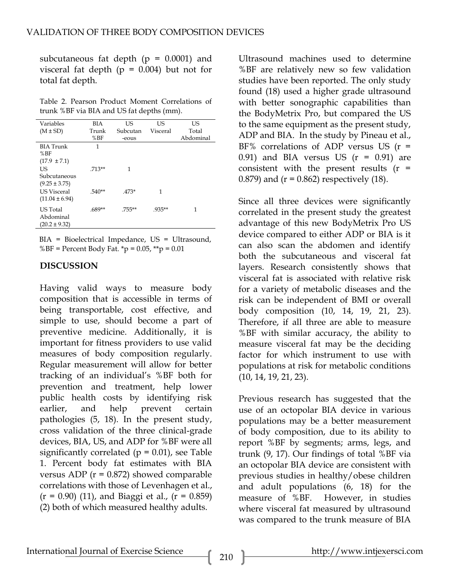subcutaneous fat depth  $(p = 0.0001)$  and visceral fat depth  $(p = 0.004)$  but not for total fat depth.

Table 2. Pearson Product Moment Correlations of trunk %BF via BIA and US fat depths (mm).

| Variables          | BIA      | US       | US       | US        |
|--------------------|----------|----------|----------|-----------|
| $(M \pm SD)$       | Trunk    | Subcutan | Visceral | Total     |
|                    | %BF      | -eous    |          | Abdominal |
| <b>BIA</b> Trunk   | 1        |          |          |           |
| %BF                |          |          |          |           |
| $(17.9 \pm 7.1)$   |          |          |          |           |
| US                 | $.713**$ | 1        |          |           |
| Subcutaneous       |          |          |          |           |
| $(9.25 \pm 3.75)$  |          |          |          |           |
| <b>US Visceral</b> | $.540**$ | $.473*$  | 1        |           |
| $(11.04 \pm 6.94)$ |          |          |          |           |
| <b>US</b> Total    | $.689**$ | .755**   | $.935**$ | 1         |
| Abdominal          |          |          |          |           |
| $(20.2 \pm 9.32)$  |          |          |          |           |
|                    |          |          |          |           |

BIA = Bioelectrical Impedance, US = Ultrasound, %BF = Percent Body Fat. \*p =  $0.05$ , \*\*p =  $0.01$ 

#### **DISCUSSION**

Having valid ways to measure body composition that is accessible in terms of being transportable, cost effective, and simple to use, should become a part of preventive medicine. Additionally, it is important for fitness providers to use valid measures of body composition regularly. Regular measurement will allow for better tracking of an individual's %BF both for prevention and treatment, help lower public health costs by identifying risk earlier, and help prevent certain pathologies (5, 18). In the present study, cross validation of the three clinical-grade devices, BIA, US, and ADP for %BF were all significantly correlated ( $p = 0.01$ ), see Table 1. Percent body fat estimates with BIA versus ADP ( $r = 0.872$ ) showed comparable correlations with those of Levenhagen et al.,  $(r = 0.90)$  (11), and Biaggi et al.,  $(r = 0.859)$ (2) both of which measured healthy adults.

Ultrasound machines used to determine %BF are relatively new so few validation studies have been reported. The only study found (18) used a higher grade ultrasound with better sonographic capabilities than the BodyMetrix Pro, but compared the US to the same equipment as the present study, ADP and BIA. In the study by Pineau et al., BF% correlations of ADP versus US  $(r =$ 0.91) and BIA versus US  $(r = 0.91)$  are consistent with the present results  $(r =$ 0.879) and  $(r = 0.862)$  respectively  $(18)$ .

Since all three devices were significantly correlated in the present study the greatest advantage of this new BodyMetrix Pro US device compared to either ADP or BIA is it can also scan the abdomen and identify both the subcutaneous and visceral fat layers. Research consistently shows that visceral fat is associated with relative risk for a variety of metabolic diseases and the risk can be independent of BMI or overall body composition (10, 14, 19, 21, 23). Therefore, if all three are able to measure %BF with similar accuracy, the ability to measure visceral fat may be the deciding factor for which instrument to use with populations at risk for metabolic conditions (10, 14, 19, 21, 23).

Previous research has suggested that the use of an octopolar BIA device in various populations may be a better measurement of body composition, due to its ability to report %BF by segments; arms, legs, and trunk (9, 17). Our findings of total %BF via an octopolar BIA device are consistent with previous studies in healthy/obese children and adult populations (6, 18) for the measure of %BF. However, in studies where visceral fat measured by ultrasound was compared to the trunk measure of BIA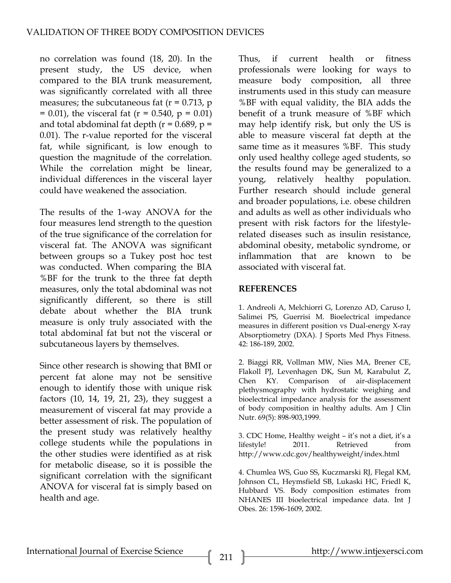no correlation was found (18, 20). In the present study, the US device, when compared to the BIA trunk measurement, was significantly correlated with all three measures; the subcutaneous fat  $(r = 0.713, p$  $= 0.01$ , the visceral fat (r = 0.540, p = 0.01) and total abdominal fat depth ( $r = 0.689$ ,  $p =$ 0.01). The r-value reported for the visceral fat, while significant, is low enough to question the magnitude of the correlation. While the correlation might be linear, individual differences in the visceral layer could have weakened the association.

The results of the 1-way ANOVA for the four measures lend strength to the question of the true significance of the correlation for visceral fat. The ANOVA was significant between groups so a Tukey post hoc test was conducted. When comparing the BIA %BF for the trunk to the three fat depth measures, only the total abdominal was not significantly different, so there is still debate about whether the BIA trunk measure is only truly associated with the total abdominal fat but not the visceral or subcutaneous layers by themselves.

Since other research is showing that BMI or percent fat alone may not be sensitive enough to identify those with unique risk factors (10, 14, 19, 21, 23), they suggest a measurement of visceral fat may provide a better assessment of risk. The population of the present study was relatively healthy college students while the populations in the other studies were identified as at risk for metabolic disease, so it is possible the significant correlation with the significant ANOVA for visceral fat is simply based on health and age.

Thus, if current health or fitness professionals were looking for ways to measure body composition, all three instruments used in this study can measure %BF with equal validity, the BIA adds the benefit of a trunk measure of %BF which may help identify risk, but only the US is able to measure visceral fat depth at the same time as it measures %BF. This study only used healthy college aged students, so the results found may be generalized to a young, relatively healthy population. Further research should include general and broader populations, i.e. obese children and adults as well as other individuals who present with risk factors for the lifestylerelated diseases such as insulin resistance, abdominal obesity, metabolic syndrome, or inflammation that are known to be associated with visceral fat.

#### **REFERENCES**

1. Andreoli A, Melchiorri G, Lorenzo AD, Caruso I, Salimei PS, Guerrisi M. Bioelectrical impedance measures in different position vs Dual-energy X-ray Absorptiometry (DXA). J Sports Med Phys Fitness. 42: 186-189, 2002.

2. Biaggi RR, Vollman MW, Nies MA, Brener CE, Flakoll PJ, Levenhagen DK, Sun M, Karabulut Z, Chen KY. Comparison of air-displacement plethysmography with hydrostatic weighing and bioelectrical impedance analysis for the assessment of body composition in healthy adults. Am J Clin Nutr. 69(5): 898-903,1999.

3. CDC Home, Healthy weight – it's not a diet, it's a lifestyle! 2011. Retrieved from http://www.cdc.gov/healthyweight/index.html

4. Chumlea WS, Guo SS, Kuczmarski RJ, Flegal KM, Johnson CL, Heymsfield SB, Lukaski HC, Friedl K, Hubbard VS. Body composition estimates from NHANES III bioelectrical impedance data. Int J Obes. 26: 1596-1609, 2002.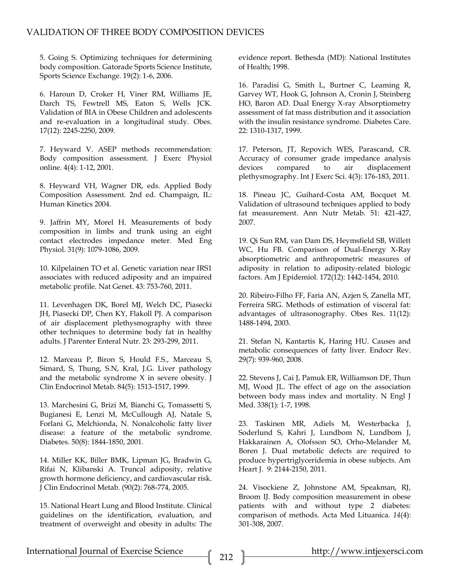5. Going S. Optimizing techniques for determining body composition. Gatorade Sports Science Institute, Sports Science Exchange. 19(2): 1-6, 2006.

6. Haroun D, Croker H, Viner RM, Williams JE, Darch TS, Fewtrell MS, Eaton S, Wells JCK. Validation of BIA in Obese Children and adolescents and re-evaluation in a longitudinal study. Obes. 17(12): 2245-2250, 2009.

7. Heyward V. ASEP methods recommendation: Body composition assessment. J Exerc Physiol online. 4(4): 1-12, 2001.

8. Heyward VH, Wagner DR, eds. Applied Body Composition Assessment. 2nd ed. Champaign, IL: Human Kinetics 2004.

9. Jaffrin MY, Morel H. Measurements of body composition in limbs and trunk using an eight contact electrodes impedance meter. Med Eng Physiol. 31(9): 1079-1086, 2009.

10. Kilpelainen TO et al. Genetic variation near IRS1 associates with reduced adiposity and an impaired metabolic profile. Nat Genet. 43: 753-760, 2011.

11. Levenhagen DK, Borel MJ, Welch DC, Piasecki JH, Piasecki DP, Chen KY, Flakoll PJ. A comparison of air displacement plethysmography with three other techniques to determine body fat in healthy adults. J Parenter Enteral Nutr. 23: 293-299, 2011.

12. Marceau P, Biron S, Hould F.S., Marceau S, Simard, S, Thung, S.N, Kral, J.G. Liver pathology and the metabolic syndrome X in severe obesity. J Clin Endocrinol Metab. 84(5): 1513-1517, 1999.

13. Marchesini G, Brizi M, Bianchi G, Tomassetti S, Bugianesi E, Lenzi M, McCullough AJ, Natale S, Forlani G, Melchionda, N. Nonalcoholic fatty liver disease: a feature of the metabolic syndrome. Diabetes. 50(8): 1844-1850, 2001.

14. Miller KK, Biller BMK, Lipman JG, Bradwin G, Rifai N, Klibanski A. Truncal adiposity, relative growth hormone deficiency, and cardiovascular risk. J Clin Endocrinol Metab. (90(2): 768-774, 2005.

15. National Heart Lung and Blood Institute. Clinical guidelines on the identification, evaluation, and treatment of overweight and obesity in adults: The evidence report. Bethesda (MD): National Institutes of Health; 1998.

16. Paradisi G, Smith L, Burtner C, Leaming R, Garvey WT, Hook G, Johnson A, Cronin J, Steinberg HO, Baron AD. Dual Energy X-ray Absorptiometry assessment of fat mass distribution and it association with the insulin resistance syndrome. Diabetes Care. 22: 1310-1317, 1999.

17. Peterson, JT, Repovich WES, Parascand, CR. Accuracy of consumer grade impedance analysis devices compared to air displacement plethysmography. Int J Exerc Sci. 4(3): 176-183, 2011.

18. Pineau JC, Guihard-Costa AM, Bocquet M. Validation of ultrasound techniques applied to body fat measurement. Ann Nutr Metab. 51: 421-427, 2007.

19. Qi Sun RM, van Dam DS, Heymsfield SB, Willett WC, Hu FB. Comparison of Dual-Energy X-Ray absorptiometric and anthropometric measures of adiposity in relation to adiposity-related biologic factors. Am J Epidemiol. 172(12): 1442-1454, 2010.

20. Ribeiro-Filho FF, Faria AN, Azjen S, Zanella MT, Ferreira SRG. Methods of estimation of visceral fat: advantages of ultrasonography. Obes Res. 11(12): 1488-1494, 2003.

21. Stefan N, Kantartis K, Haring HU. Causes and metabolic consequences of fatty liver. Endocr Rev. 29(7): 939-960, 2008.

22. Stevens J, Cai J, Pamuk ER, Williamson DF, Thun MJ, Wood JL. The effect of age on the association between body mass index and mortality. N Engl J Med. 338(1): 1-7, 1998.

23. Taskinen MR, Adiels M, Westerbacka J, Soderlund S, Kahri J, Lundbom N, Lundbom J, Hakkarainen A, Olofsson SO, Orho-Melander M, Boren J. Dual metabolic defects are required to produce hypertriglyceridemia in obese subjects. Am Heart J. 9: 2144-2150, 2011.

24. Visockiene Z, Johnstone AM, Speakman, RJ, Broom IJ. Body composition measurement in obese patients with and without type 2 diabetes: comparison of methods. Acta Med Lituanica. *14*(4): 301-308, 2007.